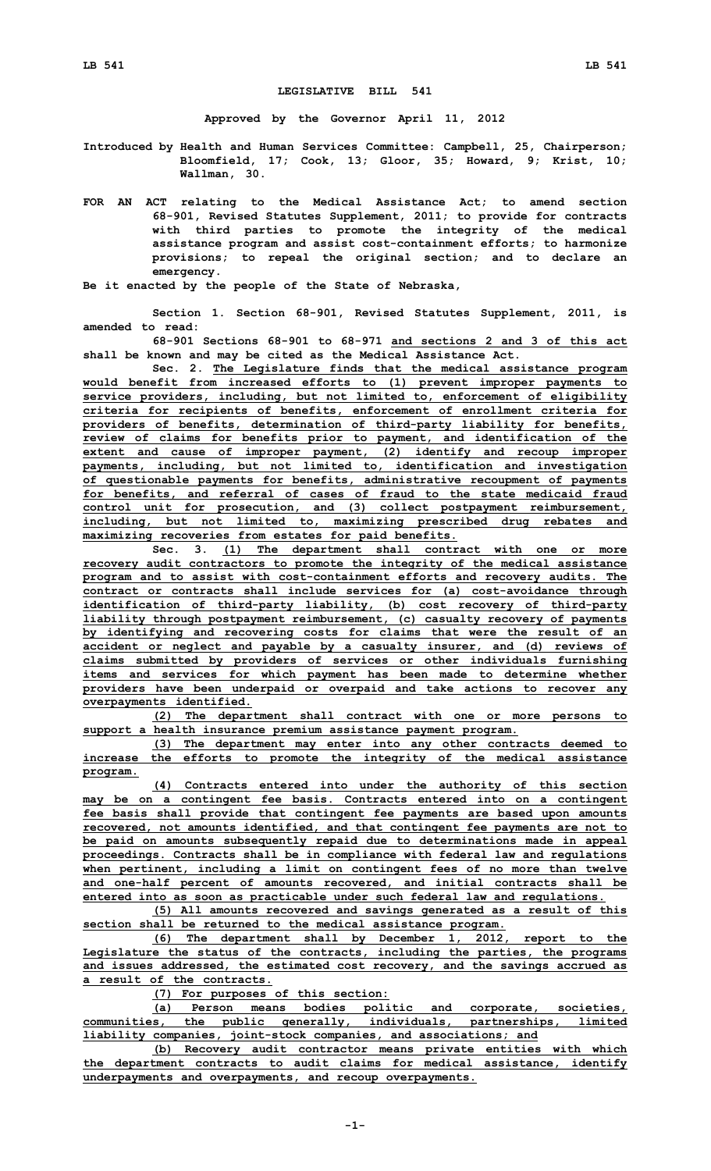## **LEGISLATIVE BILL 541**

**Approved by the Governor April 11, 2012**

**Introduced by Health and Human Services Committee: Campbell, 25, Chairperson; Bloomfield, 17; Cook, 13; Gloor, 35; Howard, 9; Krist, 10; Wallman, 30.**

**FOR AN ACT relating to the Medical Assistance Act; to amend section 68-901, Revised Statutes Supplement, 2011; to provide for contracts with third parties to promote the integrity of the medical assistance program and assist cost-containment efforts; to harmonize provisions; to repeal the original section; and to declare an emergency.**

**Be it enacted by the people of the State of Nebraska,**

**Section 1. Section 68-901, Revised Statutes Supplement, 2011, is amended to read:**

**68-901 Sections 68-901 to 68-971 and sections 2 and 3 of this act shall be known and may be cited as the Medical Assistance Act.**

**Sec. 2. The Legislature finds that the medical assistance program would benefit from increased efforts to (1) prevent improper payments to service providers, including, but not limited to, enforcement of eligibility criteria for recipients of benefits, enforcement of enrollment criteria for providers of benefits, determination of third-party liability for benefits, review of claims for benefits prior to payment, and identification of the extent and cause of improper payment, (2) identify and recoup improper payments, including, but not limited to, identification and investigation of questionable payments for benefits, administrative recoupment of payments for benefits, and referral of cases of fraud to the state medicaid fraud control unit for prosecution, and (3) collect postpayment reimbursement, including, but not limited to, maximizing prescribed drug rebates and maximizing recoveries from estates for paid benefits.**

**Sec. 3. (1) The department shall contract with one or more recovery audit contractors to promote the integrity of the medical assistance program and to assist with cost-containment efforts and recovery audits. The contract or contracts shall include services for (a) cost-avoidance through identification of third-party liability, (b) cost recovery of third-party liability through postpayment reimbursement, (c) casualty recovery of payments by identifying and recovering costs for claims that were the result of an accident or neglect and payable by <sup>a</sup> casualty insurer, and (d) reviews of claims submitted by providers of services or other individuals furnishing items and services for which payment has been made to determine whether providers have been underpaid or overpaid and take actions to recover any overpayments identified.**

**(2) The department shall contract with one or more persons to support <sup>a</sup> health insurance premium assistance payment program.**

**(3) The department may enter into any other contracts deemed to increase the efforts to promote the integrity of the medical assistance program.**

**(4) Contracts entered into under the authority of this section may be on <sup>a</sup> contingent fee basis. Contracts entered into on <sup>a</sup> contingent fee basis shall provide that contingent fee payments are based upon amounts recovered, not amounts identified, and that contingent fee payments are not to be paid on amounts subsequently repaid due to determinations made in appeal proceedings. Contracts shall be in compliance with federal law and regulations when pertinent, including <sup>a</sup> limit on contingent fees of no more than twelve and one-half percent of amounts recovered, and initial contracts shall be entered into as soon as practicable under such federal law and regulations.**

**(5) All amounts recovered and savings generated as <sup>a</sup> result of this section shall be returned to the medical assistance program.**

**(6) The department shall by December 1, 2012, report to the Legislature the status of the contracts, including the parties, the programs and issues addressed, the estimated cost recovery, and the savings accrued as a result of the contracts.**

**(7) For purposes of this section:**

**(a) Person means bodies politic and corporate, societies, communities, the public generally, individuals, partnerships, limited liability companies, joint-stock companies, and associations; and**

**(b) Recovery audit contractor means private entities with which the department contracts to audit claims for medical assistance, identify underpayments and overpayments, and recoup overpayments.**